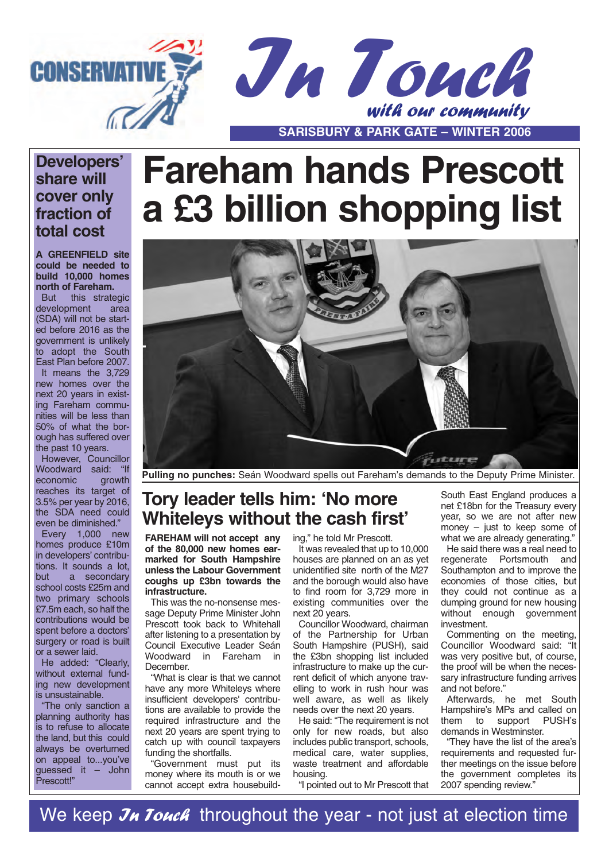

#### **Developers' share will cover only fraction of total cost**

**A GREENFIELD site could be needed to build 10,000 homes north of Fareham.**

But this strategic development area (SDA) will not be started before 2016 as the government is unlikely to adopt the South East Plan before 2007. It means the 3,729 new homes over the next 20 years in existing Fareham communities will be less than 50% of what the borough has suffered over the past 10 years.

However, Councillor Woodward said: "If economic growth reaches its target of 3.5% per year by 2016, the SDA need could even be diminished."

Every 1,000 new homes produce £10m in developers' contributions. It sounds a lot, but a secondary school costs £25m and two primary schools £7.5m each, so half the contributions would be spent before a doctors' surgery or road is built or a sewer laid.

He added: "Clearly, without external funding new development is unsustainable.

"The only sanction a planning authority has is to refuse to allocate the land, but this could always be overturned on appeal to...you've guessed it – John Prescott!"

# **Fareham hands Prescott a £3 billion shopping list**



**Pulling no punches:** Seán Woodward spells out Fareham's demands to the Deputy Prime Minister.

## **Tory leader tells him: 'No more Whiteleys without the cash first'**

**FAREHAM will not accept any of the 80,000 new homes earmarked for South Hampshire unless the Labour Government coughs up £3bn towards the infrastructure.**

This was the no-nonsense message Deputy Prime Minister John Prescott took back to Whitehall after listening to a presentation by Council Executive Leader Seán Woodward in Fareham in December.

"What is clear is that we cannot have any more Whiteleys where insufficient developers' contributions are available to provide the required infrastructure and the next 20 years are spent trying to catch up with council taxpayers funding the shortfalls.

"Government must put its money where its mouth is or we cannot accept extra housebuilding," he told Mr Prescott.

It was revealed that up to 10,000 houses are planned on an as yet unidentified site north of the M27 and the borough would also have to find room for 3,729 more in existing communities over the next 20 years.

Councillor Woodward, chairman of the Partnership for Urban South Hampshire (PUSH), said the £3bn shopping list included infrastructure to make up the current deficit of which anyone travelling to work in rush hour was well aware, as well as likely needs over the next 20 years.

He said: "The requirement is not only for new roads, but also includes public transport, schools, medical care, water supplies, waste treatment and affordable housing.

"I pointed out to Mr Prescott that

South East England produces a net £18bn for the Treasury every year, so we are not after new money  $-$  just to keep some of what we are already generating."

He said there was a real need to regenerate Portsmouth and Southampton and to improve the economies of those cities, but they could not continue as a dumping ground for new housing without enough government investment

Commenting on the meeting, Councillor Woodward said: "It was very positive but, of course, the proof will be when the necessary infrastructure funding arrives and not before."

Afterwards, he met South Hampshire's MPs and called on them to support PUSH's demands in Westminster.

"They have the list of the area's requirements and requested further meetings on the issue before the government completes its 2007 spending review."

We keep  $\mathcal{J}_H$  Touch throughout the year - not just at election time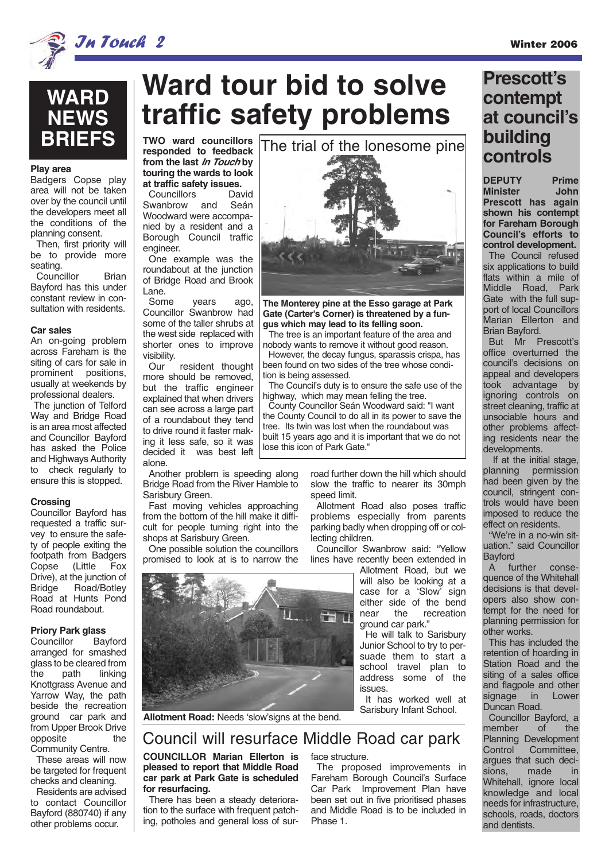

**Play area**

seating.

**Car sales**

**Crossing**

Councillor Bayford has requested a traffic survey to ensure the safety of people exiting the footpath from Badgers Copse (Little Fox Drive), at the junction of Bridge Road/Botley Road at Hunts Pond Road roundabout.

**Priory Park glass**

arranged for smashed glass to be cleared from the path linking Knottgrass Avenue and Yarrow Way, the path beside the recreation ground car park and from Upper Brook Drive

Councillor

opposite

Community Centre. These areas will now be targeted for frequent checks and cleaning. Residents are advised to contact Councillor Bayford (880740) if any other problems occur.

Badgers Copse play area will not be taken over by the council until the developers meet all the conditions of the planning consent. Then, first priority will be to provide more

**WARD**

**NEWS BRIEFS**

Councillor Brian Bayford has this under constant review in consultation with residents.

An on-going problem across Fareham is the siting of cars for sale in prominent positions, usually at weekends by professional dealers. The junction of Telford Way and Bridge Road is an area most affected and Councillor Bayford has asked the Police and Highways Authority to check regularly to ensure this is stopped.

## In Touch 2 Winter 2006

## **Ward tour bid to solve traffic safety problems**

**TWO ward councillors responded to feedback from the last In Touch by touring the wards to look at traffic safety issues.**

Councillors David Swanbrow and Seán Woodward were accompanied by a resident and a Borough Council traffic engineer.

One example was the roundabout at the junction of Bridge Road and Brook Lane.

Some years ago, Councillor Swanbrow had some of the taller shrubs at the west side replaced with shorter ones to improve visibility.

Our resident thought more should be removed but the traffic engineer explained that when drivers can see across a large part of a roundabout they tend to drive round it faster making it less safe, so it was decided it was best left alone.

Another problem is speeding along Bridge Road from the River Hamble to Sarisbury Green.

Fast moving vehicles approaching from the bottom of the hill make it difficult for people turning right into the shops at Sarisbury Green.

One possible solution the councillors promised to look at is to narrow the



### Council will resurface Middle Road car park

#### **COUNCILLOR Marian Ellerton is pleased to report that Middle Road car park at Park Gate is scheduled for resurfacing.**

There has been a steady deterioration to the surface with frequent patching, potholes and general loss of surface structure.

The proposed improvements in Fareham Borough Council's Surface Car Park Improvement Plan have been set out in five prioritised phases and Middle Road is to be included in Phase 1.

road further down the hill which should slow the traffic to nearer its 30mph

Allotment Road also poses traffic problems especially from parents parking badly when dropping off or col-

Councillor Swanbrow said: "Yellow

ground car park."

issues.

Allotment Road, but we will also be looking at a case for a 'Slow' sign either side of the bend<br>near the recreation near the recreation

He will talk to Sarisbury Junior School to try to persuade them to start a school travel plan to address some of the

It has worked well at Sarisbury Infant School.

speed limit.

tion is being assessed.

lose this icon of Park Gate."

lecting children.

**The Monterey pine at the Esso garage at Park Gate (Carter's Corner) is threatened by a fungus which may lead to its felling soon.**

The trial of the lonesome pine

The tree is an important feature of the area and nobody wants to remove it without good reason. However, the decay fungus, sparassis crispa, has been found on two sides of the tree whose condi-

The Council's duty is to ensure the safe use of the

highway, which may mean felling the tree. County Councillor Seán Woodward said: "I want the County Council to do all in its power to save the tree. Its twin was lost when the roundabout was built 15 years ago and it is important that we do not

## **Prescott's contempt at council's building controls**

**DEPUTY Prime Minister John Prescott has again shown his contempt for Fareham Borough Council's efforts to control development.**

The Council refused six applications to build flats within a mile of Middle Road, Park Gate with the full support of local Councillors Marian Ellerton and Brian Bayford.

But Mr Prescott's office overturned the council's decisions on appeal and developers took advantage by ignoring controls on street cleaning, traffic at unsociable hours and other problems affecting residents near the developments.

If at the initial stage, planning permission had been given by the council, stringent controls would have been imposed to reduce the effect on residents.

"We're in a no-win situation." said Councillor **Bayford** 

A further consequence of the Whitehall decisions is that developers also show contempt for the need for planning permission for other works.

This has included the retention of hoarding in Station Road and the siting of a sales office and flagpole and other<br>signage in Lower signage Duncan Road.

Councillor Bayford, a<br>
rember of the member of the Planning Development<br>Control Committee. Committee, argues that such decisions, made in Whitehall, ignore local knowledge and local needs for infrastructure, schools, roads, doctors and dentists.

lines have recently been extended in

**Allotment Road:** Needs 'slow'signs at the bend.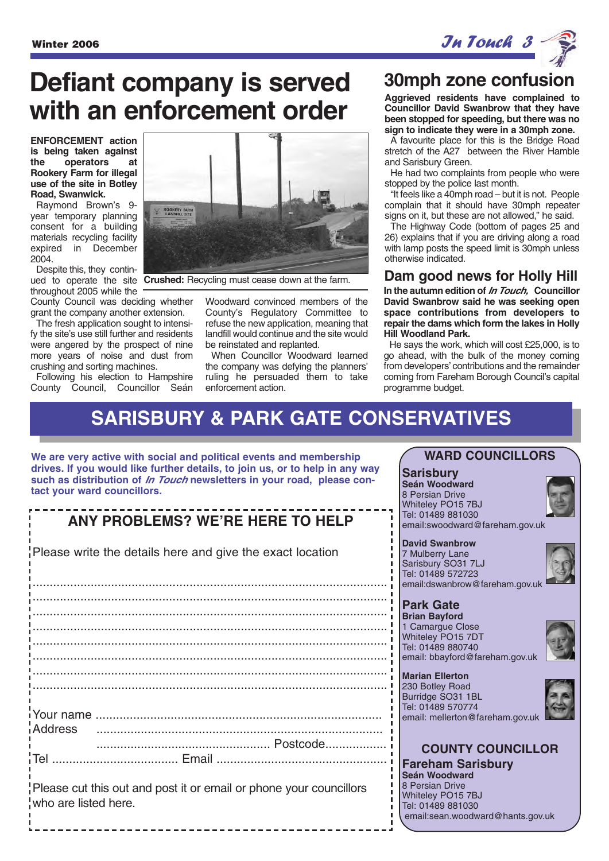**Defiant company is served with an enforcement order** 

**ENFORCEMENT action is being taken against the operators at Rookery Farm for illegal use of the site in Botley Road, Swanwick.**

Raymond Brown's 9 year temporary planning consent for a building materials recycling facility expired in December 2004.

Despite this, they continthroughout 2005 while the

County Council was deciding whether grant the company another extension.

The fresh application sought to intensify the site's use still further and residents were angered by the prospect of nine more years of noise and dust from crushing and sorting machines.

Following his election to Hampshire County Council, Councillor Seán



ued to operate the site **Crushed:** Recycling must cease down at the farm.

Woodward convinced members of the County's Regulatory Committee to refuse the new application, meaning that landfill would continue and the site would be reinstated and replanted.

When Councillor Woodward learned the company was defying the planners' ruling he persuaded them to take enforcement action.

## **30mph zone confusion**

**Aggrieved residents have complained to Councillor David Swanbrow that they have been stopped for speeding, but there was no sign to indicate they were in a 30mph zone.** 

A favourite place for this is the Bridge Road stretch of the A27 between the River Hamble and Sarisbury Green.

He had two complaints from people who were stopped by the police last month.

"It feels like a 40mph road – but it is not. People complain that it should have 30mph repeater signs on it, but these are not allowed," he said.

The Highway Code (bottom of pages 25 and 26) explains that if you are driving along a road with lamp posts the speed limit is 30mph unless otherwise indicated.

#### **Dam good news for Holly Hill**

**In the autumn edition of In Touch, Councillor David Swanbrow said he was seeking open space contributions from developers to repair the dams which form the lakes in Holly Hill Woodland Park.**

He says the work, which will cost £25,000, is to go ahead, with the bulk of the money coming from developers' contributions and the remainder coming from Fareham Borough Council's capital programme budget.

## **SARISBURY & PARK GATE CONSERVATIVES**

**We are very active with social and political events and membership drives. If you would like further details, to join us, or to help in any way such as distribution of In Touch newsletters in your road, please contact your ward councillors.**

## **ANY PROBLEMS? WE'RE HERE TO HELP**

Please write the details here and give the exact location

........................................................................................................ ........................................................................................................ ........................................................................................................ ........................................................................................................ ........................................................................................................ ........................................................................................................ ........................................................................................................ ........................................................................................................ Your name .................................................................................... Address .................................................................................... ................................................... Postcode.................. Tel ..................................... Email ..................................................

Please cut this out and post it or email or phone your councillors who are listed here.

#### **WARD COUNCILLORS**

#### **Sarisbury**

**Seán Woodward** 8 Persian Drive Whiteley PO15 7BJ Tel: 01489 881030 email:swoodward@fareham.gov.uk

#### **David Swanbrow**

7 Mulberry Lane Sarisbury SO31 7LJ Tel: 01489 572723 email:dswanbrow@fareham.gov.uk

#### **Park Gate**

**Brian Bayford** 1 Camargue Close Whiteley PO15 7DT Tel: 01489 880740 email: bbayford@fareham.gov.uk



**Marian Ellerton** 230 Botley Road Burridge SO31 1BL Tel: 01489 570774



## email: mellerton@fareham.gov.uk **COUNTY COUNCILLOR**

**Fareham Sarisbury Seán Woodward** 8 Persian Drive Whiteley PO15 7BJ Tel: 01489 881030 email:sean.woodward@hants.gov.uk